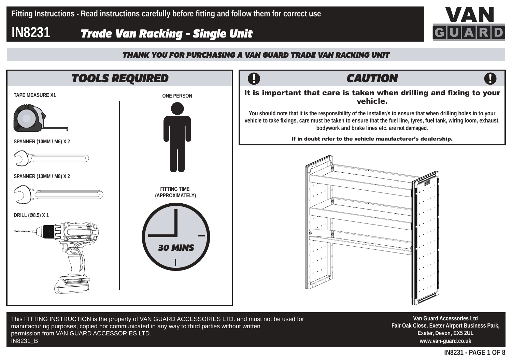## **IN8231** *Trade Van Racking - Single Unit*





**Van Guard Accessories Ltd Fair Oak Close, Exeter Airport Business Park, Exeter, Devon, EX5 2UL www.van-guard.co.uk**

This FITTING INSTRUCTION is the property of VAN GUARD ACCESSORIES LTD. and must not be used for manufacturing purposes, copied nor communicated in any way to third parties without written permission from VAN GUARD ACCESSORIES LTD. IN8231\_B

**IN8231 - PAGE 1 OF 8**



 $\mathbf{I}$ 

vehicle.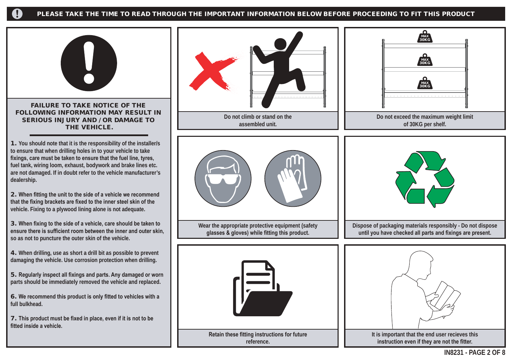#### PLEASE TAKE THE TIME TO READ THROUGH THE IMPORTANT INFORMATION BELOW BEFORE PROCEEDING TO FIT THIS PRODUCT



**ensure there is sufficient room between the inner and outer skin, so as not to puncture the outer skin of the vehicle.**

4. **When drilling, use as short a drill bit as possible to prevent damaging the vehicle. Use corrosion protection when drilling.**

5. **Regularly inspect all fixings and parts. Any damaged or worn parts should be immediately removed the vehicle and replaced.**

6. **We recommend this product is only fitted to vehicles with a full bulkhead.**

7. **This product must be fixed in place, even if it is not to be fitted inside a vehicle.**

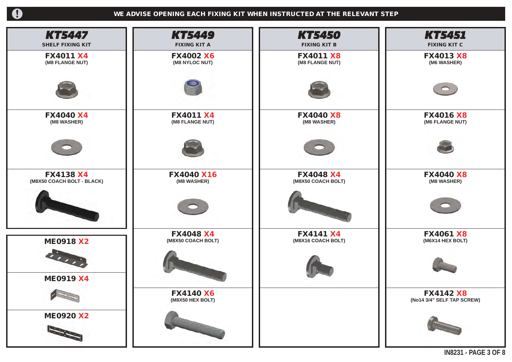$\overline{\mathbf{0}}$ 

| <b>KT5447</b>              | <b>KT5449</b>         | <b>KT5450</b>       | KT5451                     |
|----------------------------|-----------------------|---------------------|----------------------------|
| <b>SHELF FIXING KIT</b>    | <b>FIXING KIT A</b>   | <b>FIXING KIT B</b> | <b>FIXING KIT C</b>        |
| <b>FX4011 X4</b>           | <b>FX4002 X6</b>      | <b>FX4011 X8</b>    | <b>FX4013 X8</b>           |
| (M8 FLANGE NUT)            | (M8 NYLOC NUT)        | (M8 FLANGE NUT)     | (M6 WASHER)                |
|                            |                       |                     | $\bullet$                  |
| <b>FX4040 X4</b>           | <b>FX4011 X4</b>      | <b>FX4040 X8</b>    | <b>FX4016 X8</b>           |
| (M8 WASHER)                | (M8 FLANGE NUT)       | (M8 WASHER)         | (M6 FLANGE NUT)            |
|                            |                       |                     |                            |
| <b>FX4138 X4</b>           | <b>FX4040 X16</b>     | <b>FX4048 X4</b>    | <b>FX4040 X8</b>           |
| (M8X50 COACH BOLT - BLACK) | (M8 WASHER)           | (M8X50 COACH BOLT)  | (M8 WASHER)                |
|                            |                       | <b>SHANDLING</b>    |                            |
| <b>ME0918 X2</b>           | <b>FX4048 X4</b>      | <b>FX4141 X4</b>    | <b>FX4061 X8</b>           |
|                            | (M8X50 COACH BOLT)    | (M8X16 COACH BOLT)  | (M6X14 HEX BOLT)           |
| 1111<br><b>ME0919 X4</b>   | <b>ANNUARD ANTIST</b> |                     |                            |
|                            | <b>FX4140 X6</b>      |                     | <b>FX4142 X8</b>           |
| $\sim$                     | (M8X50 HEX BOLT)      |                     | (No14 3/4" SELF TAP SCREW) |
| <b>ME0920 X2</b>           | Maramanana a          |                     |                            |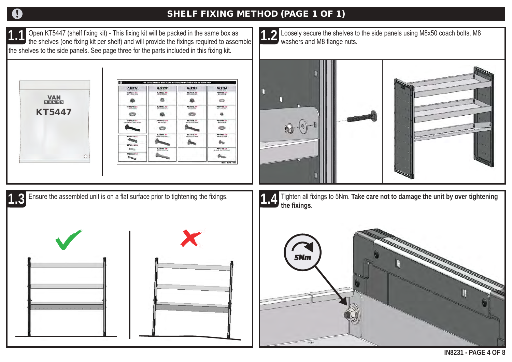## A

### SHELF FIXING METHOD (PAGE 1 OF 1)

**1.1** 1.1 Open KT5447 (shelf fixing kit) - This fixing kit will be packed in the same box as the shelves (one fixing kit per shelf) and will provide the fixings required to assemble 1.2 the shelves to the side panels. See page three for the parts included in this fixing kit.







**1.4** Tighten all fixings to 5Nm. Take care not to damage the unit by over tightening

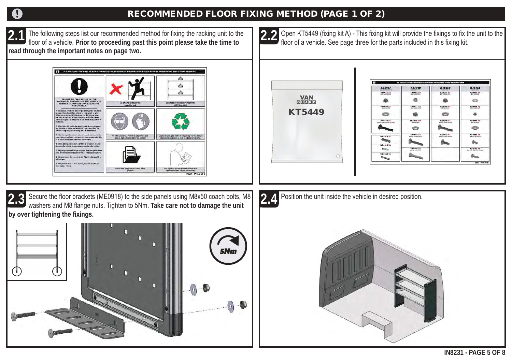### RECOMMENDED FLOOR FIXING METHOD (PAGE 1 OF 2)

**2.1** The following steps list our recommended method for fixing the racking unit to the floor of a vehicle. **Prior to proceeding past this point please take the time to read through the important notes on page two.**

> ė A Â

**2.2**

O Open KT5449 (fixing kit A) - This fixing kit will provide the fixings to fix the unit to the floor of a vehicle. See page three for the parts included in this fixing kit.





**2.3** Secure the floor brackets (ME0918) to the side panels using M8x50 coach bolts, M8 washers and M8 flange nuts. Tighten to 5Nm. **Take care not to damage the unit by over tightening the fixings.**



**2.4** Position the unit inside the vehicle in desired position.

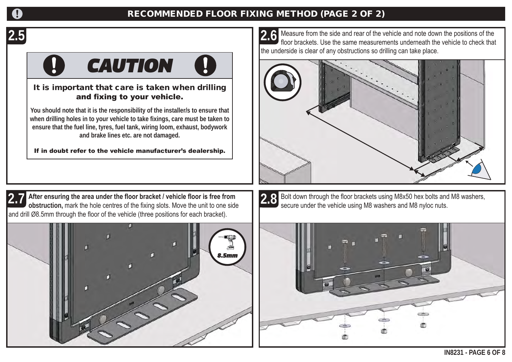### RECOMMENDED FLOOR FIXING METHOD (PAGE 2 OF 2)

# **2.5**

# *CAUTION*

### It is important that care is taken when drilling and fixing to your vehicle.

**You should note that it is the responsibility of the installer/s to ensure that when drilling holes in to your vehicle to take fixings, care must be taken to ensure that the fuel line, tyres, fuel tank, wiring loom, exhaust, bodywork and brake lines etc. are not damaged.**

If in doubt refer to the vehicle manufacturer's dealership.

 Measure from the side and rear of the vehicle and note down the positions of the floor brackets. Use the same measurements underneath the vehicle to check that the underside is clear of any obstructions so drilling can take place. **2.6**







2.8 Bolt down through the floor brackets using M8x50 hex bolts and M8 washers, secure under the vehicle using M8 washers and M8 nyloc nuts.

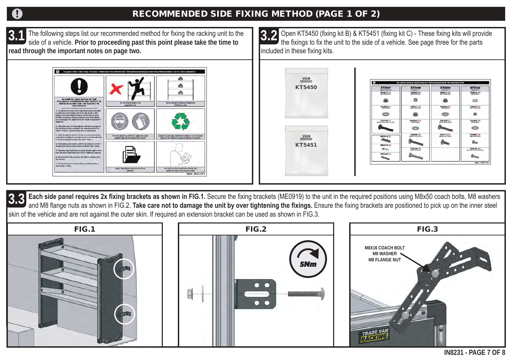### RECOMMENDED SIDE FIXING METHOD (PAGE 1 OF 2)

 The following steps list our recommended method for fixing the racking unit to the side of a vehicle. **Prior to proceeding past this point please take the time to read through the important notes on page two. 3.1**



 Open KT5450 (fixing kit B) & KT5451 (fixing kit C) - These fixing kits will provide the fixings to fix the unit to the side of a vehicle. See page three for the parts included in these fixing kits. **3.2**





**3.3** Each side panel requires 2x fixing brackets as shown in FIG.1. Secure the fixing brackets (ME0919) to the unit in the required positions using M8x50 coach bolts, M8 washers and M8 flange nuts as shown in FIG.2. Take and M8 flange nuts as shown in FIG.2. Take care not to damage the unit by over tightening the fixings. Ensure the fixing brackets are positioned to pick up on the inner steel skin of the vehicle and are not against the outer skin. If required an extension bracket can be used as shown in FIG.3.